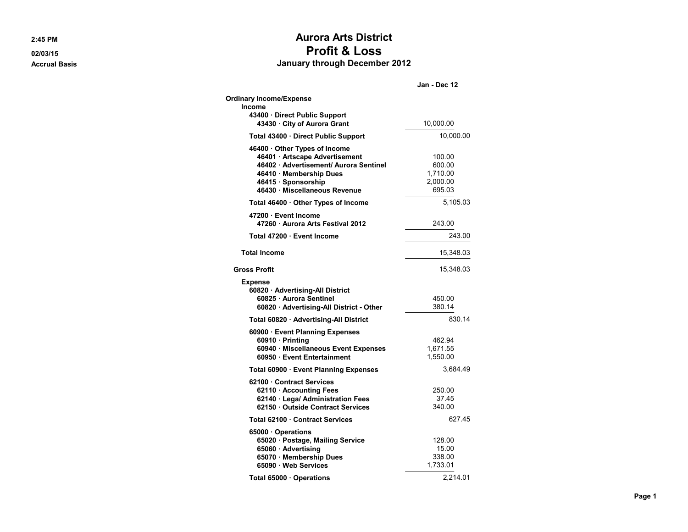2:45 PM

02/03/15 **Accrual Basis** 

## **Aurora Arts District Profit & Loss** January through December 2012

|                                                                                                                                                                                          | Jan - Dec 12                                       |
|------------------------------------------------------------------------------------------------------------------------------------------------------------------------------------------|----------------------------------------------------|
| <b>Ordinary Income/Expense</b>                                                                                                                                                           |                                                    |
| Income                                                                                                                                                                                   |                                                    |
| 43400 · Direct Public Support<br>43430 · City of Aurora Grant                                                                                                                            | 10,000.00                                          |
| Total 43400 · Direct Public Support                                                                                                                                                      | 10,000.00                                          |
| 46400 Other Types of Income<br>46401 · Artscape Advertisement<br>46402 · Advertisement/ Aurora Sentinel<br>46410 · Membership Dues<br>46415 · Sponsorship<br>46430 Miscellaneous Revenue | 100.00<br>600.00<br>1,710.00<br>2,000.00<br>695.03 |
| Total 46400 · Other Types of Income                                                                                                                                                      | 5,105.03                                           |
| 47200 · Event Income<br>47260 Aurora Arts Festival 2012                                                                                                                                  | 243.00                                             |
| Total 47200 · Event Income                                                                                                                                                               | 243.00                                             |
| <b>Total Income</b>                                                                                                                                                                      | 15,348.03                                          |
| <b>Gross Profit</b>                                                                                                                                                                      | 15,348.03                                          |
| <b>Expense</b><br>60820 · Advertising-All District<br>60825 · Aurora Sentinel<br>60820 · Advertising-All District - Other                                                                | 450.00<br>380.14                                   |
| Total 60820 · Advertising-All District                                                                                                                                                   | 830.14                                             |
| 60900 Event Planning Expenses<br>60910 · Printing<br>60940 · Miscellaneous Event Expenses<br>60950 Event Entertainment                                                                   | 462.94<br>1,671.55<br>1,550.00                     |
| Total 60900 · Event Planning Expenses                                                                                                                                                    | 3,684.49                                           |
| 62100 Contract Services<br>62110 · Accounting Fees<br>62140 · Lega/ Administration Fees<br>62150 Outside Contract Services                                                               | 250.00<br>37.45<br>340.00                          |
| Total 62100 Contract Services                                                                                                                                                            | 627.45                                             |
| 65000 Operations<br>65020 · Postage, Mailing Service<br>65060 · Advertising<br>65070 · Membership Dues<br>65090 · Web Services                                                           | 128.00<br>15.00<br>338.00<br>1,733.01              |
| Total 65000 · Operations                                                                                                                                                                 | 2,214.01                                           |